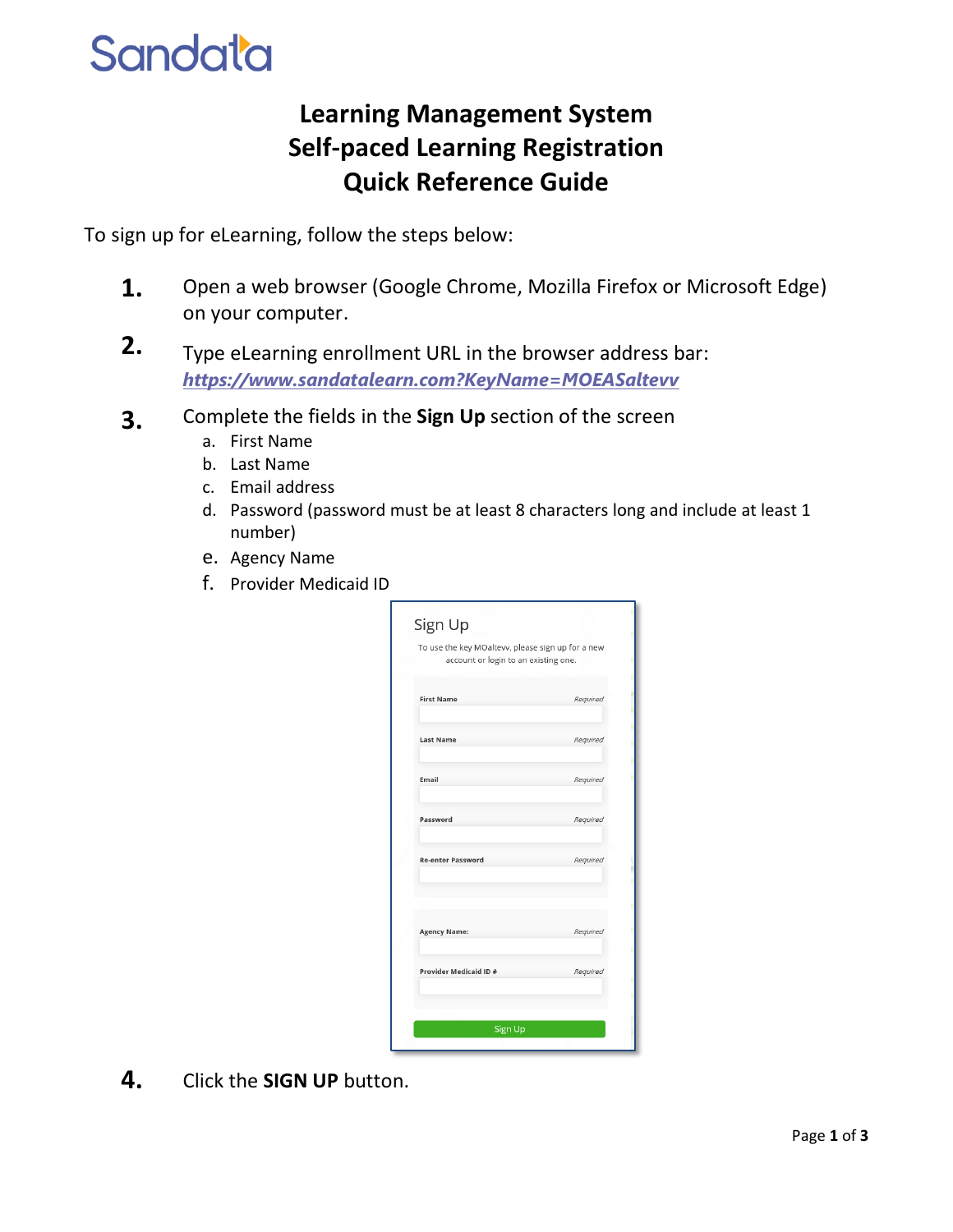## **Sandata**

## **Learning Management System Self-paced Learning Registration Quick Reference Guide**

To sign up for eLearning, follow the steps below:

- **1.** Open a web browser (Google Chrome, Mozilla Firefox or Microsoft Edge) on your computer.
- **2.** Type eLearning enrollment URL in the browser address bar: *[https://www.sandatalearn.com?KeyName=MOEASaltevv](https://www.sandatalearn.com/?KeyName=MOEASaltevv)*
- **3.** Complete the fields in the **Sign Up** section of the screen
	- a. First Name
	- b. Last Name
	- c. Email address
	- d. Password (password must be at least 8 characters long and include at least 1 number)
	- e. Agency Name
	- f. Provider Medicaid ID

| To use the key MOaltevv, please sign up for a new<br>account or login to an existing one. |          |
|-------------------------------------------------------------------------------------------|----------|
| <b>First Name</b>                                                                         | Required |
| <b>Last Name</b>                                                                          | Required |
| Email                                                                                     | Required |
| Password                                                                                  | Required |
| <b>Re-enter Password</b>                                                                  | Required |
| <b>Agency Name:</b>                                                                       | Required |
| Provider Medicaid ID #                                                                    | Required |
|                                                                                           |          |

**4.** Click the **SIGN UP** button.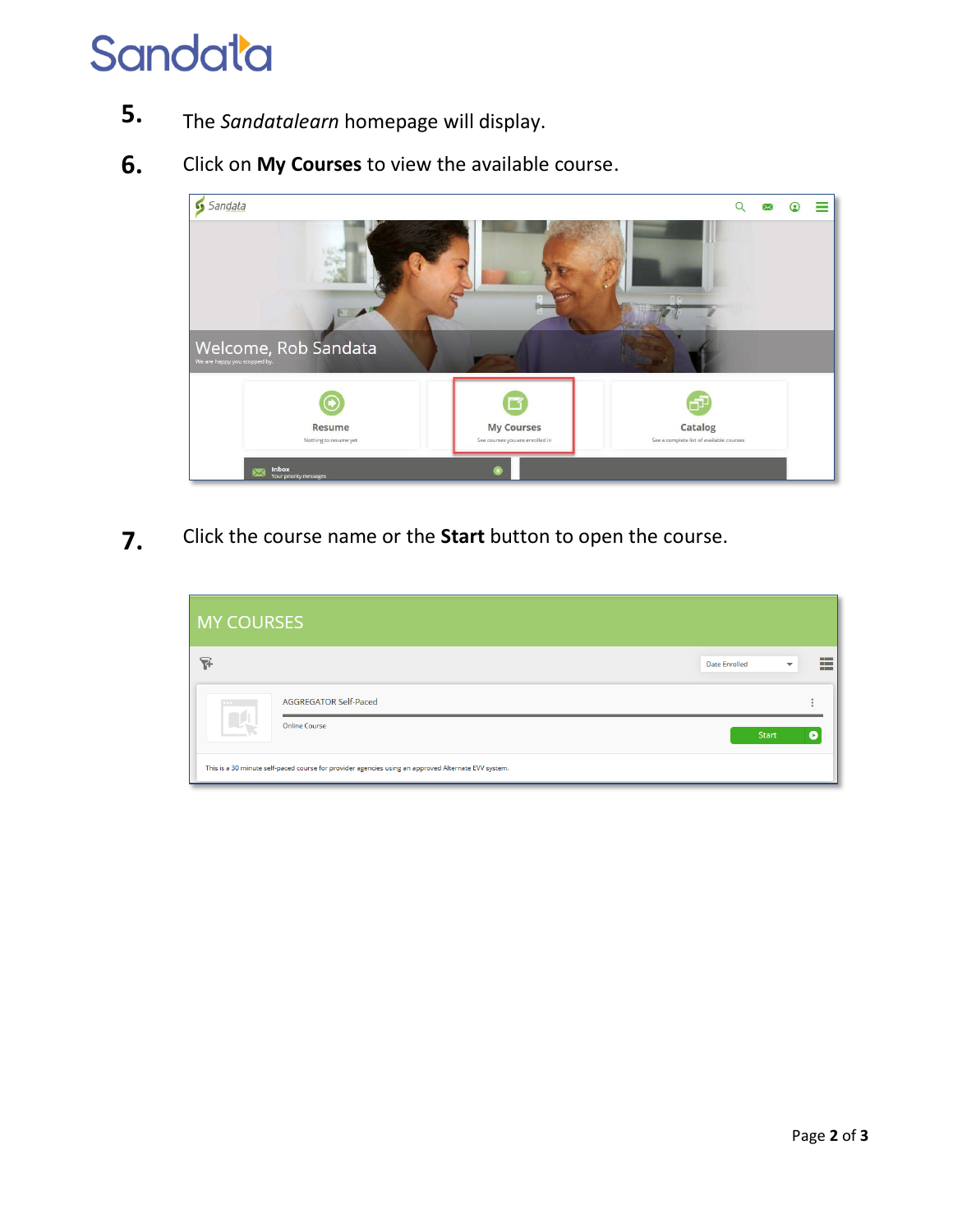## Sandata

- **5.** The *Sandatalearn* homepage will display.
- **6.** Click on **My Courses** to view the available course.



**7.** Click the course name or the **Start** button to open the course.

| <b>MY COURSES</b> |                                                                                                     |                      |              |                              |
|-------------------|-----------------------------------------------------------------------------------------------------|----------------------|--------------|------------------------------|
| ନ୍ମ               |                                                                                                     | <b>Date Enrolled</b> | $\checkmark$ | <b>H</b><br>−<br><b>FREE</b> |
| $\cdots$          | <b>AGGREGATOR Self-Paced</b>                                                                        |                      |              |                              |
|                   | <b>Online Course</b>                                                                                |                      | <b>Start</b> |                              |
|                   | This is a 30 minute self-paced course for provider agencies using an approved Alternate EVV system. |                      |              |                              |